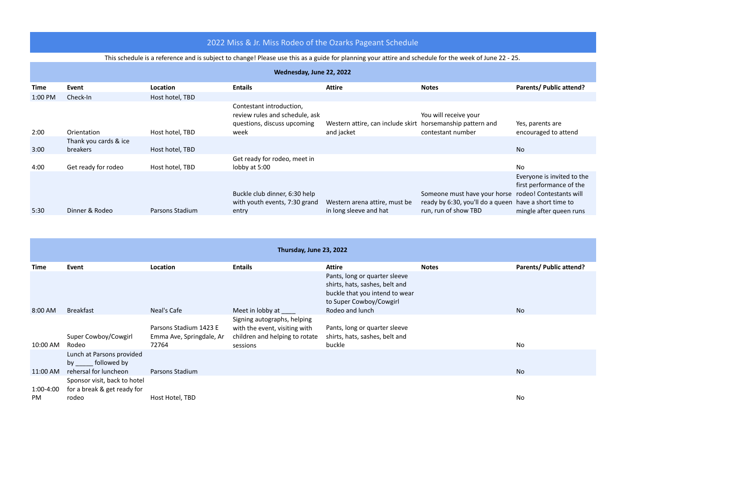## 2022 Miss & Jr. Miss Rodeo of the Ozarks Pageant Schedule

## This schedule is a reference and is subject to change! Please use this as a guide for planning your attire and schedule for the week of June 22 - 25.

|             | Wednesday, June 22, 2022                 |                 |                                                                                           |                                                            |                                                                                          |                                                                                                                                     |
|-------------|------------------------------------------|-----------------|-------------------------------------------------------------------------------------------|------------------------------------------------------------|------------------------------------------------------------------------------------------|-------------------------------------------------------------------------------------------------------------------------------------|
| <b>Time</b> | Event                                    | Location        | <b>Entails</b>                                                                            | <b>Attire</b>                                              | <b>Notes</b>                                                                             | <b>Parents/ Public attend?</b>                                                                                                      |
| $1:00$ PM   | Check-In                                 | Host hotel, TBD |                                                                                           |                                                            |                                                                                          |                                                                                                                                     |
|             |                                          |                 | Contestant introduction,<br>review rules and schedule, ask<br>questions, discuss upcoming | Western attire, can include skirt horsemanship pattern and | You will receive your                                                                    | Yes, parents are                                                                                                                    |
| 2:00        | Orientation                              | Host hotel, TBD | week                                                                                      | and jacket                                                 | contestant number                                                                        | encouraged to attend                                                                                                                |
| 3:00        | Thank you cards & ice<br><b>breakers</b> | Host hotel, TBD |                                                                                           |                                                            |                                                                                          | <b>No</b>                                                                                                                           |
| 4:00        | Get ready for rodeo                      | Host hotel, TBD | Get ready for rodeo, meet in<br>lobby at 5:00                                             |                                                            |                                                                                          | No                                                                                                                                  |
| 5:30        | Dinner & Rodeo                           | Parsons Stadium | Buckle club dinner, 6:30 help<br>with youth events, 7:30 grand                            | Western arena attire, must be<br>in long sleeve and hat    | Someone must have your horse<br>ready by 6:30, you'll do a queen<br>run, run of show TBD | Everyone is invited to th<br>first performance of the<br>rodeo! Contestants will<br>have a short time to<br>mingle after queen runs |
|             |                                          |                 | entry                                                                                     |                                                            |                                                                                          |                                                                                                                                     |

| Thursday, June 23, 2022 |                                                                      |                                                             |                                                                                                            |                                                                                                                              |              |                                |
|-------------------------|----------------------------------------------------------------------|-------------------------------------------------------------|------------------------------------------------------------------------------------------------------------|------------------------------------------------------------------------------------------------------------------------------|--------------|--------------------------------|
| <b>Time</b>             | Event                                                                | Location                                                    | <b>Entails</b>                                                                                             | <b>Attire</b>                                                                                                                | <b>Notes</b> | <b>Parents/ Public attend?</b> |
|                         |                                                                      |                                                             |                                                                                                            | Pants, long or quarter sleeve<br>shirts, hats, sashes, belt and<br>buckle that you intend to wear<br>to Super Cowboy/Cowgirl |              |                                |
| 8:00 AM                 | <b>Breakfast</b>                                                     | Neal's Cafe                                                 | Meet in lobby at                                                                                           | Rodeo and lunch                                                                                                              |              | No                             |
| 10:00 AM                | Super Cowboy/Cowgirl<br>Rodeo                                        | Parsons Stadium 1423 E<br>Emma Ave, Springdale, Ar<br>72764 | Signing autographs, helping<br>with the event, visiting with<br>children and helping to rotate<br>sessions | Pants, long or quarter sleeve<br>shirts, hats, sashes, belt and<br>buckle                                                    |              | No                             |
| 11:00 AM                | Lunch at Parsons provided<br>by followed by<br>rehersal for luncheon | Parsons Stadium                                             |                                                                                                            |                                                                                                                              |              | No                             |
| 1:00-4:00<br>PM.        | Sponsor visit, back to hotel<br>for a break & get ready for<br>rodeo | Host Hotel, TBD                                             |                                                                                                            |                                                                                                                              |              | No                             |

is invited to the rmance of the ntestants will ort time to er queen runs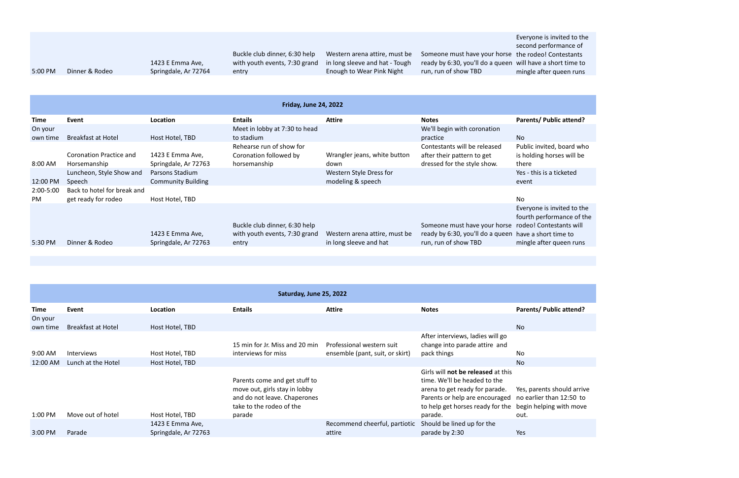|         |                |                      |                               |                                |                                                 | <b>LVCI YULIC 13 I</b> |
|---------|----------------|----------------------|-------------------------------|--------------------------------|-------------------------------------------------|------------------------|
|         |                |                      |                               |                                |                                                 | second perfo           |
|         |                |                      | Buckle club dinner, 6:30 help | Western arena attire, must be  | Someone must have your horse the rodeo! C       |                        |
|         |                | 1423 E Emma Ave,     | with youth events, 7:30 grand | in long sleeve and hat - Tough | ready by 6:30, you'll do a queen will have a sl |                        |
| 5:00 PM | Dinner & Rodeo | Springdale, Ar 72764 | entry                         | Enough to Wear Pink Night      | run, run of show TBD                            | mingle after           |
|         |                |                      |                               |                                |                                                 |                        |
|         |                |                      |                               |                                |                                                 |                        |

Everyone is invited to the ormance of Contestants short time to mqueen runs

ited, board who horses will be

is invited to the formance of the ntestants will ort time to ter queen runs

nts should arrive r than  $12:50$  to Iping with move

|                  | <b>Friday, June 24, 2022</b>                       |                                              |                                                                |                                              |                                                                                       |                                                                                  |  |
|------------------|----------------------------------------------------|----------------------------------------------|----------------------------------------------------------------|----------------------------------------------|---------------------------------------------------------------------------------------|----------------------------------------------------------------------------------|--|
| <b>Time</b>      | Event                                              | Location                                     | <b>Entails</b>                                                 | <b>Attire</b>                                | <b>Notes</b>                                                                          | <b>Parents/ Public attend?</b>                                                   |  |
| On your          |                                                    |                                              | Meet in lobby at 7:30 to head                                  |                                              | We'll begin with coronation                                                           |                                                                                  |  |
| own time         | <b>Breakfast at Hotel</b>                          | Host Hotel, TBD                              | to stadium<br>Rehearse run of show for                         |                                              | practice<br>Contestants will be released                                              | No<br>Public invited, board wh                                                   |  |
| 8:00 AM          | <b>Coronation Practice and</b><br>Horsemanship     | 1423 E Emma Ave,<br>Springdale, Ar 72763     | Coronation followed by<br>horsemanship                         | Wrangler jeans, white button<br>down         | after their pattern to get<br>dressed for the style show.                             | is holding horses will be<br>there                                               |  |
| 12:00 PM         | Luncheon, Style Show and<br>Speech                 | Parsons Stadium<br><b>Community Building</b> |                                                                | Western Style Dress for<br>modeling & speech |                                                                                       | Yes - this is a ticketed<br>event                                                |  |
| 2:00-5:00<br>PM. | Back to hotel for break and<br>get ready for rodeo | Host Hotel, TBD                              |                                                                |                                              |                                                                                       | No                                                                               |  |
|                  |                                                    | 1423 E Emma Ave,                             | Buckle club dinner, 6:30 help<br>with youth events, 7:30 grand | Western arena attire, must be                | Someone must have your horse<br>ready by 6:30, you'll do a queen have a short time to | Everyone is invited to th<br>fourth performance of th<br>rodeo! Contestants will |  |
| 5:30 PM          | Dinner & Rodeo                                     | Springdale, Ar 72763                         | entry                                                          | in long sleeve and hat                       | run, run of show TBD                                                                  | mingle after queen runs                                                          |  |

| Saturday, June 25, 2022 |                           |                                          |                                                                                                                            |                                                              |                                                                                                                                                                                                                             |                                |
|-------------------------|---------------------------|------------------------------------------|----------------------------------------------------------------------------------------------------------------------------|--------------------------------------------------------------|-----------------------------------------------------------------------------------------------------------------------------------------------------------------------------------------------------------------------------|--------------------------------|
| Time                    | Event                     | Location                                 | <b>Entails</b>                                                                                                             | <b>Attire</b>                                                | <b>Notes</b>                                                                                                                                                                                                                | <b>Parents/ Public attend?</b> |
| On your<br>own time     | <b>Breakfast at Hotel</b> | Host Hotel, TBD                          |                                                                                                                            |                                                              |                                                                                                                                                                                                                             | <b>No</b>                      |
| 9:00 AM                 | <b>Interviews</b>         | Host Hotel, TBD                          | 15 min for Jr. Miss and 20 min<br>interviews for miss                                                                      | Professional western suit<br>ensemble (pant, suit, or skirt) | After interviews, ladies will go<br>change into parade attire and<br>pack things                                                                                                                                            | No                             |
| 12:00 AM                | Lunch at the Hotel        | Host Hotel, TBD                          |                                                                                                                            |                                                              |                                                                                                                                                                                                                             | <b>No</b>                      |
|                         |                           |                                          | Parents come and get stuff to<br>move out, girls stay in lobby<br>and do not leave. Chaperones<br>take to the rodeo of the |                                                              | Girls will not be released at this<br>time. We'll be headed to the<br>arena to get ready for parade.<br>Parents or help are encouraged no earlier than 12:50 to<br>to help get horses ready for the begin helping with move | Yes, parents should arriv      |
| 1:00 PM                 | Move out of hotel         | Host Hotel, TBD                          | parade                                                                                                                     |                                                              | parade.                                                                                                                                                                                                                     | out.                           |
| 3:00 PM                 | Parade                    | 1423 E Emma Ave,<br>Springdale, Ar 72763 |                                                                                                                            | Recommend cheerful, partiotic<br>attire                      | Should be lined up for the<br>parade by 2:30                                                                                                                                                                                | Yes                            |